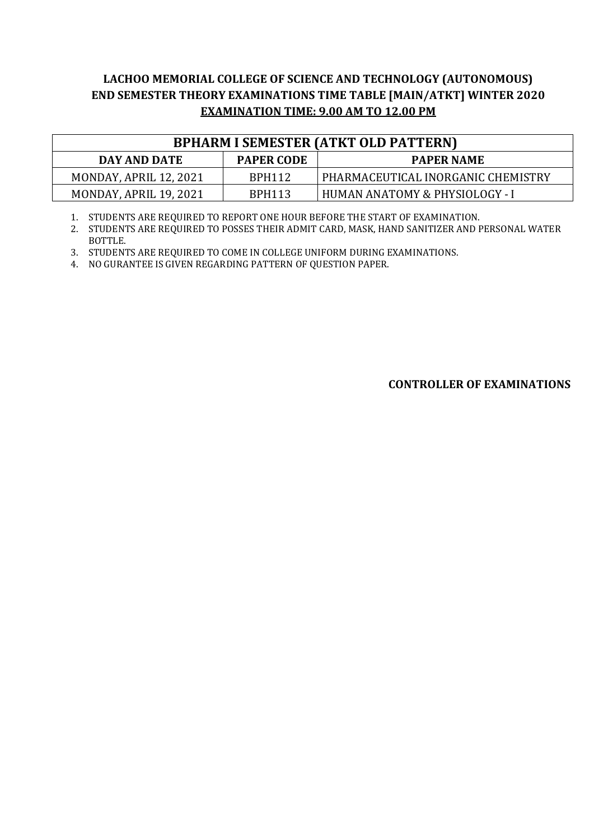| <b>BPHARM I SEMESTER (ATKT OLD PATTERN)</b> |                   |                                    |  |  |
|---------------------------------------------|-------------------|------------------------------------|--|--|
| DAY AND DATE                                | <b>PAPER CODE</b> | <b>PAPER NAME</b>                  |  |  |
| MONDAY, APRIL 12, 2021                      | <b>RPH112</b>     | PHARMACEUTICAL INORGANIC CHEMISTRY |  |  |
| MONDAY, APRIL 19, 2021                      | <b>RPH113</b>     | HUMAN ANATOMY & PHYSIOLOGY - I     |  |  |

1. STUDENTS ARE REQUIRED TO REPORT ONE HOUR BEFORE THE START OF EXAMINATION.

2. STUDENTS ARE REQUIRED TO POSSES THEIR ADMIT CARD, MASK, HAND SANITIZER AND PERSONAL WATER BOTTLE.

3. STUDENTS ARE REQUIRED TO COME IN COLLEGE UNIFORM DURING EXAMINATIONS.

4. NO GURANTEE IS GIVEN REGARDING PATTERN OF QUESTION PAPER.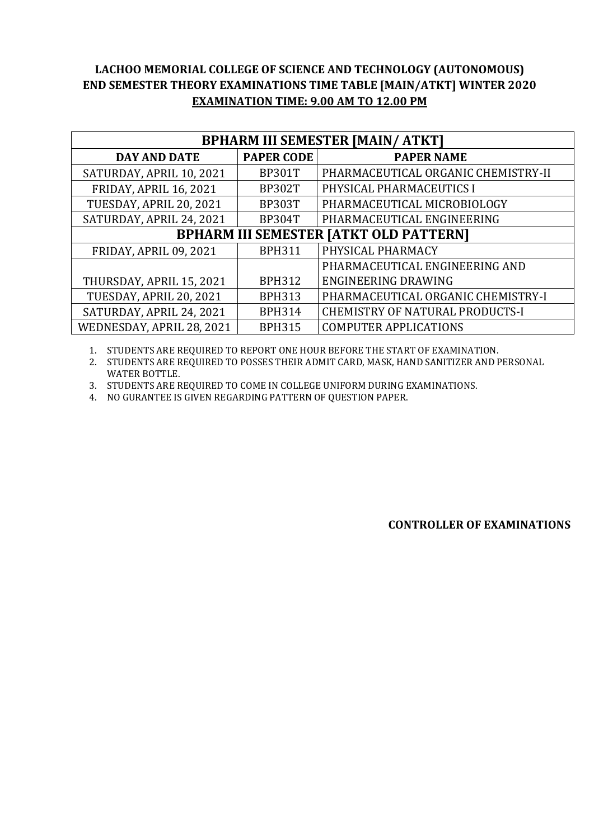| <b>BPHARM III SEMESTER [MAIN/ ATKT]</b>       |                   |                                        |  |  |
|-----------------------------------------------|-------------------|----------------------------------------|--|--|
| <b>DAY AND DATE</b>                           | <b>PAPER CODE</b> | <b>PAPER NAME</b>                      |  |  |
| SATURDAY, APRIL 10, 2021                      | <b>BP301T</b>     | PHARMACEUTICAL ORGANIC CHEMISTRY-II    |  |  |
| <b>FRIDAY, APRIL 16, 2021</b>                 | <b>BP302T</b>     | PHYSICAL PHARMACEUTICS I               |  |  |
| TUESDAY, APRIL 20, 2021                       | <b>BP303T</b>     | PHARMACEUTICAL MICROBIOLOGY            |  |  |
| SATURDAY, APRIL 24, 2021                      | <b>BP304T</b>     | PHARMACEUTICAL ENGINEERING             |  |  |
| <b>BPHARM III SEMESTER [ATKT OLD PATTERN]</b> |                   |                                        |  |  |
| FRIDAY, APRIL 09, 2021                        | <b>BPH311</b>     | PHYSICAL PHARMACY                      |  |  |
|                                               |                   | PHARMACEUTICAL ENGINEERING AND         |  |  |
| THURSDAY, APRIL 15, 2021                      | <b>BPH312</b>     | ENGINEERING DRAWING                    |  |  |
| TUESDAY, APRIL 20, 2021                       | <b>BPH313</b>     | PHARMACEUTICAL ORGANIC CHEMISTRY-I     |  |  |
| SATURDAY, APRIL 24, 2021                      | <b>BPH314</b>     | <b>CHEMISTRY OF NATURAL PRODUCTS-I</b> |  |  |
| WEDNESDAY, APRIL 28, 2021                     | <b>BPH315</b>     | <b>COMPUTER APPLICATIONS</b>           |  |  |

1. STUDENTS ARE REQUIRED TO REPORT ONE HOUR BEFORE THE START OF EXAMINATION.

2. STUDENTS ARE REQUIRED TO POSSES THEIR ADMIT CARD, MASK, HAND SANITIZER AND PERSONAL WATER BOTTLE.

3. STUDENTS ARE REQUIRED TO COME IN COLLEGE UNIFORM DURING EXAMINATIONS.

4. NO GURANTEE IS GIVEN REGARDING PATTERN OF QUESTION PAPER.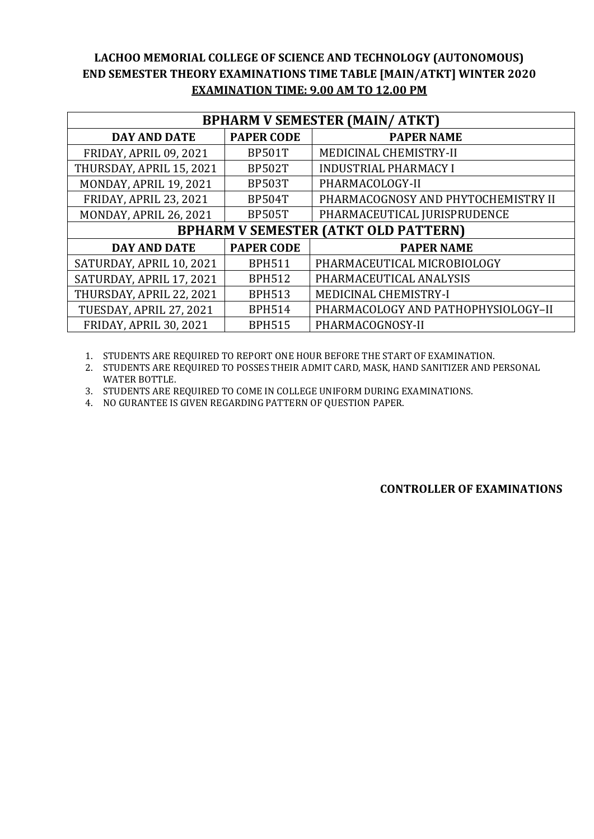| <b>BPHARM V SEMESTER (MAIN/ ATKT)</b>       |                   |                                     |  |  |
|---------------------------------------------|-------------------|-------------------------------------|--|--|
| DAY AND DATE                                | <b>PAPER CODE</b> | <b>PAPER NAME</b>                   |  |  |
| FRIDAY, APRIL 09, 2021                      | <b>BP501T</b>     | MEDICINAL CHEMISTRY-II              |  |  |
| THURSDAY, APRIL 15, 2021                    | <b>BP502T</b>     | <b>INDUSTRIAL PHARMACY I</b>        |  |  |
| MONDAY, APRIL 19, 2021                      | <b>BP503T</b>     | PHARMACOLOGY-II                     |  |  |
| FRIDAY, APRIL 23, 2021                      | <b>BP504T</b>     | PHARMACOGNOSY AND PHYTOCHEMISTRY II |  |  |
| MONDAY, APRIL 26, 2021                      | <b>BP505T</b>     | PHARMACEUTICAL JURISPRUDENCE        |  |  |
| <b>BPHARM V SEMESTER (ATKT OLD PATTERN)</b> |                   |                                     |  |  |
| <b>DAY AND DATE</b>                         | <b>PAPER CODE</b> | <b>PAPER NAME</b>                   |  |  |
| SATURDAY, APRIL 10, 2021                    | <b>BPH511</b>     | PHARMACEUTICAL MICROBIOLOGY         |  |  |
| SATURDAY, APRIL 17, 2021                    | <b>BPH512</b>     | PHARMACEUTICAL ANALYSIS             |  |  |
| THURSDAY, APRIL 22, 2021                    | <b>BPH513</b>     | MEDICINAL CHEMISTRY-I               |  |  |
| TUESDAY, APRIL 27, 2021                     | <b>BPH514</b>     | PHARMACOLOGY AND PATHOPHYSIOLOGY-II |  |  |
| FRIDAY, APRIL 30, 2021                      | <b>BPH515</b>     | PHARMACOGNOSY-II                    |  |  |

1. STUDENTS ARE REQUIRED TO REPORT ONE HOUR BEFORE THE START OF EXAMINATION.

2. STUDENTS ARE REQUIRED TO POSSES THEIR ADMIT CARD, MASK, HAND SANITIZER AND PERSONAL WATER BOTTLE.

3. STUDENTS ARE REQUIRED TO COME IN COLLEGE UNIFORM DURING EXAMINATIONS.

4. NO GURANTEE IS GIVEN REGARDING PATTERN OF QUESTION PAPER.